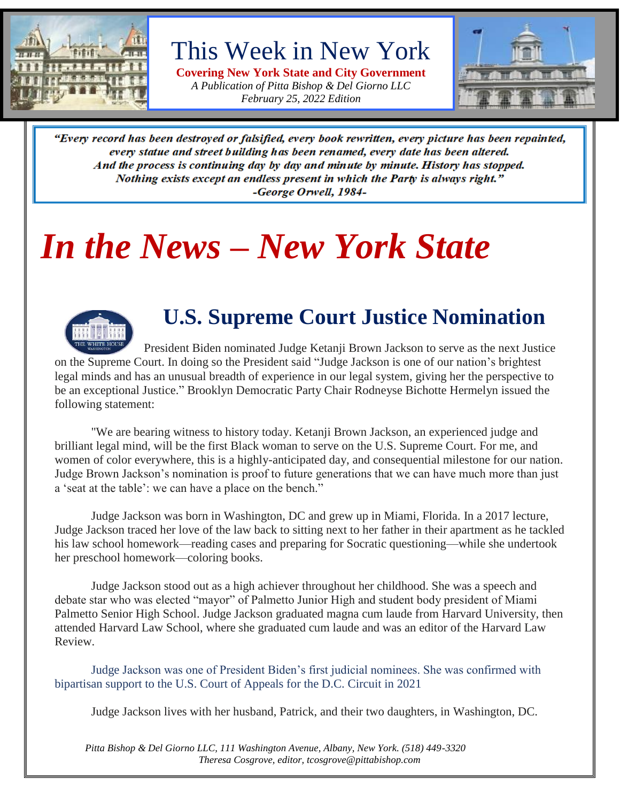

## This Week in New York

**Covering New York State and City Government** *A Publication of Pitta Bishop & Del Giorno LLC February 25, 2022 Edition*



"Every record has been destroyed or falsified, every book rewritten, every picture has been repainted, every statue and street building has been renamed, every date has been altered. And the process is continuing day by day and minute by minute. History has stopped. Nothing exists except an endless present in which the Party is always right." -George Orwell, 1984-

## *In the News – New York State*



## **U.S. Supreme Court Justice Nomination**

President Biden nominated Judge Ketanji Brown Jackson to serve as the next Justice on the Supreme Court. In doing so the President said "Judge Jackson is one of our nation's brightest legal minds and has an unusual breadth of experience in our legal system, giving her the perspective to be an exceptional Justice." Brooklyn Democratic Party Chair Rodneyse Bichotte Hermelyn issued the following statement:

"We are bearing witness to history today. Ketanji Brown Jackson, an experienced judge and brilliant legal mind, will be the first Black woman to serve on the U.S. Supreme Court. For me, and women of color everywhere, this is a highly-anticipated day, and consequential milestone for our nation. Judge Brown Jackson's nomination is proof to future generations that we can have much more than just a 'seat at the table': we can have a place on the bench."

Judge Jackson was born in Washington, DC and grew up in Miami, Florida. In a 2017 lecture, Judge Jackson traced her love of the law back to sitting next to her father in their apartment as he tackled his law school homework—reading cases and preparing for Socratic questioning—while she undertook her preschool homework—coloring books.

Judge Jackson stood out as a high achiever throughout her childhood. She was a speech and debate star who was elected "mayor" of Palmetto Junior High and student body president of Miami Palmetto Senior High School. Judge Jackson graduated magna cum laude from Harvard University, then attended Harvard Law School, where she graduated cum laude and was an editor of the Harvard Law Review.

Judge Jackson was one of President Biden's first judicial nominees. She was confirmed with bipartisan support to the U.S. Court of Appeals for the D.C. Circuit in 2021

Judge Jackson lives with her husband, Patrick, and their two daughters, in Washington, DC.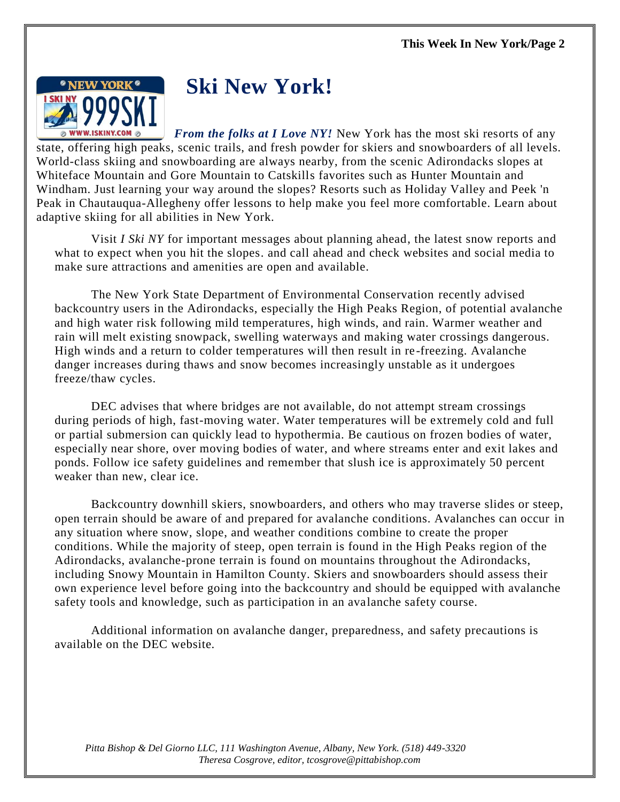

## **Ski New York!**

*From the folks at I Love NY!* New York has the most ski resorts of any state, offering high peaks, scenic trails, and fresh powder for skiers and snowboarders of all levels. World-class skiing and snowboarding are always nearby, from the scenic Adirondacks slopes at Whiteface Mountain and Gore Mountain to Catskills favorites such as Hunter Mountain and Windham. Just learning your way around the slopes? Resorts such as Holiday Valley and Peek 'n Peak in Chautauqua-Allegheny offer lessons to help make you feel more comfortable. Learn about adaptive skiing for all abilities in New York.

Visit *I Ski NY* for important messages about planning ahead, the latest snow reports and what to expect when you hit the slopes. and call ahead and check websites and social media to make sure attractions and amenities are open and available.

The New York State Department of Environmental Conservation recently advised backcountry users in the Adirondacks, especially the High Peaks Region, of potential avalanche and high water risk following mild temperatures, high winds, and rain. Warmer weather and rain will melt existing snowpack, swelling waterways and making water crossings dangerous. High winds and a return to colder temperatures will then result in re-freezing. Avalanche danger increases during thaws and snow becomes increasingly unstable as it undergoes freeze/thaw cycles.

DEC advises that where bridges are not available, do not attempt stream crossings during periods of high, fast-moving water. Water temperatures will be extremely cold and full or partial submersion can quickly lead to hypothermia. Be cautious on frozen bodies of water, especially near shore, over moving bodies of water, and where streams enter and exit lakes and ponds. Follow ice safety guidelines and remember that slush ice is approximately 50 percent weaker than new, clear ice.

Backcountry downhill skiers, snowboarders, and others who may traverse slides or steep, open terrain should be aware of and prepared for avalanche conditions. Avalanches can occur in any situation where snow, slope, and weather conditions combine to create the proper conditions. While the majority of steep, open terrain is found in the High Peaks region of the Adirondacks, avalanche-prone terrain is found on mountains throughout the Adirondacks, including Snowy Mountain in Hamilton County. Skiers and snowboarders should assess their own experience level before going into the backcountry and should be equipped with avalanche safety tools and knowledge, such as participation in an avalanche safety course.

Additional information on avalanche danger, preparedness, and safety precautions is available on the DEC website.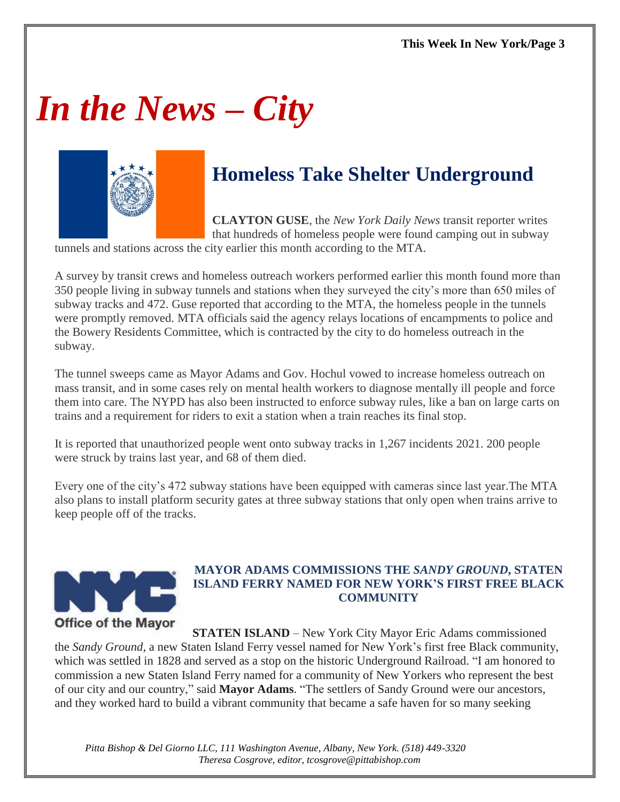# *In the News – City*



## **Homeless Take Shelter Underground**

**CLAYTON GUSE**, the *New York Daily News* transit reporter writes that hundreds of homeless people were found camping out in subway

tunnels and stations across the city earlier this month according to the MTA.

A survey by transit crews and homeless outreach workers performed earlier this month found more than 350 people living in subway tunnels and stations when they surveyed the city's more than 650 miles of subway tracks and 472. Guse reported that according to the MTA, the homeless people in the tunnels were promptly removed. MTA officials said the agency relays locations of encampments to police and the Bowery Residents Committee, which is contracted by the city to do homeless outreach in the subway.

The tunnel sweeps came as Mayor Adams and Gov. Hochul vowed to increase homeless outreach on mass transit, and in some cases rely on mental health workers to diagnose mentally ill people and force them into care. The NYPD has also been instructed to enforce subway rules, like a ban on large carts on trains and a requirement for riders to exit a station when a train reaches its final stop.

It is reported that unauthorized people went onto subway tracks in 1,267 incidents 2021. 200 people were struck by trains last year, and 68 of them died.

Every one of the city's 472 subway stations have been equipped with cameras since last year.The MTA also plans to install platform security gates at three subway stations that only open when trains arrive to keep people off of the tracks.



#### **MAYOR ADAMS COMMISSIONS THE** *SANDY GROUND***, STATEN ISLAND FERRY NAMED FOR NEW YORK'S FIRST FREE BLACK COMMUNITY**

**STATEN ISLAND** – New York City Mayor Eric Adams commissioned the *Sandy Ground*, a new Staten Island Ferry vessel named for New York's first free Black community, which was settled in 1828 and served as a stop on the historic Underground Railroad. "I am honored to commission a new Staten Island Ferry named for a community of New Yorkers who represent the best of our city and our country," said **Mayor Adams**. "The settlers of Sandy Ground were our ancestors, and they worked hard to build a vibrant community that became a safe haven for so many seeking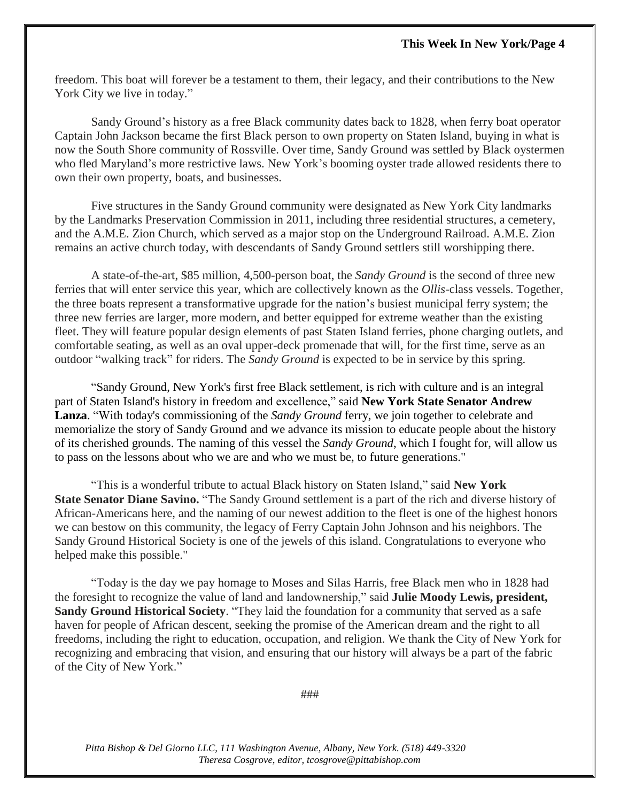freedom. This boat will forever be a testament to them, their legacy, and their contributions to the New York City we live in today."

Sandy Ground's history as a free Black community dates back to 1828, when ferry boat operator Captain John Jackson became the first Black person to own property on Staten Island, buying in what is now the South Shore community of Rossville. Over time, Sandy Ground was settled by Black oystermen who fled Maryland's more restrictive laws. New York's booming oyster trade allowed residents there to own their own property, boats, and businesses.

Five structures in the Sandy Ground community were designated as New York City landmarks by the Landmarks Preservation Commission in 2011, including three residential structures, a cemetery, and the A.M.E. Zion Church, which served as a major stop on the Underground Railroad. A.M.E. Zion remains an active church today, with descendants of Sandy Ground settlers still worshipping there.

A state-of-the-art, \$85 million, 4,500-person boat, the *Sandy Ground* is the second of three new ferries that will enter service this year, which are collectively known as the *Ollis*-class vessels. Together, the three boats represent a transformative upgrade for the nation's busiest municipal ferry system; the three new ferries are larger, more modern, and better equipped for extreme weather than the existing fleet. They will feature popular design elements of past Staten Island ferries, phone charging outlets, and comfortable seating, as well as an oval upper-deck promenade that will, for the first time, serve as an outdoor "walking track" for riders. The *Sandy Ground* is expected to be in service by this spring.

"Sandy Ground, New York's first free Black settlement, is rich with culture and is an integral part of Staten Island's history in freedom and excellence," said **New York State Senator Andrew Lanza**. "With today's commissioning of the *Sandy Ground* ferry, we join together to celebrate and memorialize the story of Sandy Ground and we advance its mission to educate people about the history of its cherished grounds. The naming of this vessel the *Sandy Ground*, which I fought for, will allow us to pass on the lessons about who we are and who we must be, to future generations."

"This is a wonderful tribute to actual Black history on Staten Island," said **New York State Senator Diane Savino.** "The Sandy Ground settlement is a part of the rich and diverse history of African-Americans here, and the naming of our newest addition to the fleet is one of the highest honors we can bestow on this community, the legacy of Ferry Captain John Johnson and his neighbors. The Sandy Ground Historical Society is one of the jewels of this island. Congratulations to everyone who helped make this possible."

"Today is the day we pay homage to Moses and Silas Harris, free Black men who in 1828 had the foresight to recognize the value of land and landownership," said **Julie Moody Lewis, president, Sandy Ground Historical Society**. "They laid the foundation for a community that served as a safe haven for people of African descent, seeking the promise of the American dream and the right to all freedoms, including the right to education, occupation, and religion. We thank the City of New York for recognizing and embracing that vision, and ensuring that our history will always be a part of the fabric of the City of New York."

###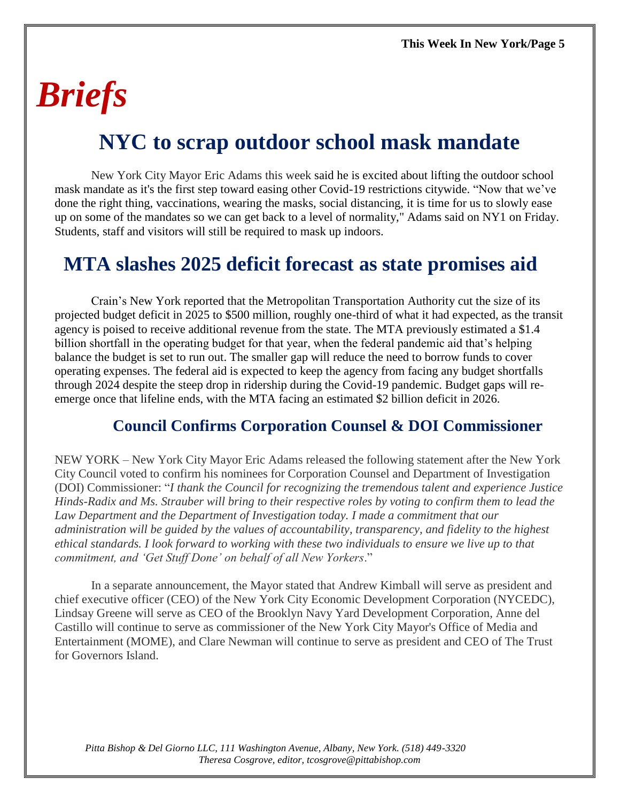# *Briefs*

## **NYC to scrap outdoor school mask mandate**

New York City Mayor Eric Adams this week said he is excited about lifting the outdoor school mask mandate as it's the first step toward easing other Covid-19 restrictions citywide. "Now that we've done the right thing, vaccinations, wearing the masks, social distancing, it is time for us to slowly ease up on some of the mandates so we can get back to a level of normality," Adams said on NY1 on Friday. Students, staff and visitors will still be required to mask up indoors.

### **MTA slashes 2025 deficit forecast as state promises aid**

Crain's New York reported that the Metropolitan Transportation Authority cut the size of its projected budget deficit in 2025 to \$500 million, roughly one-third of what it had expected, as the transit agency is poised to receive additional revenue from the state. The MTA previously estimated a \$1.4 billion shortfall in the operating budget for that year, when the federal pandemic aid that's helping balance the budget is set to run out. The smaller gap will reduce the need to borrow funds to cover operating expenses. The federal aid is expected to keep the agency from facing any budget shortfalls through 2024 despite the steep drop in ridership during the Covid-19 pandemic. Budget gaps will reemerge once that lifeline ends, with the MTA facing an estimated \$2 billion deficit in 2026.

### **Council Confirms Corporation Counsel & DOI Commissioner**

NEW YORK – New York City Mayor Eric Adams released the following statement after the New York City Council voted to confirm his nominees for Corporation Counsel and Department of Investigation (DOI) Commissioner: "*I thank the Council for recognizing the tremendous talent and experience Justice Hinds-Radix and Ms. Strauber will bring to their respective roles by voting to confirm them to lead the Law Department and the Department of Investigation today. I made a commitment that our administration will be guided by the values of accountability, transparency, and fidelity to the highest ethical standards. I look forward to working with these two individuals to ensure we live up to that commitment, and 'Get Stuff Done' on behalf of all New Yorkers*."

In a separate announcement, the Mayor stated that Andrew Kimball will serve as president and chief executive officer (CEO) of the New York City Economic Development Corporation (NYCEDC), Lindsay Greene will serve as CEO of the Brooklyn Navy Yard Development Corporation, Anne del Castillo will continue to serve as commissioner of the New York City Mayor's Office of Media and Entertainment (MOME), and Clare Newman will continue to serve as president and CEO of The Trust for Governors Island.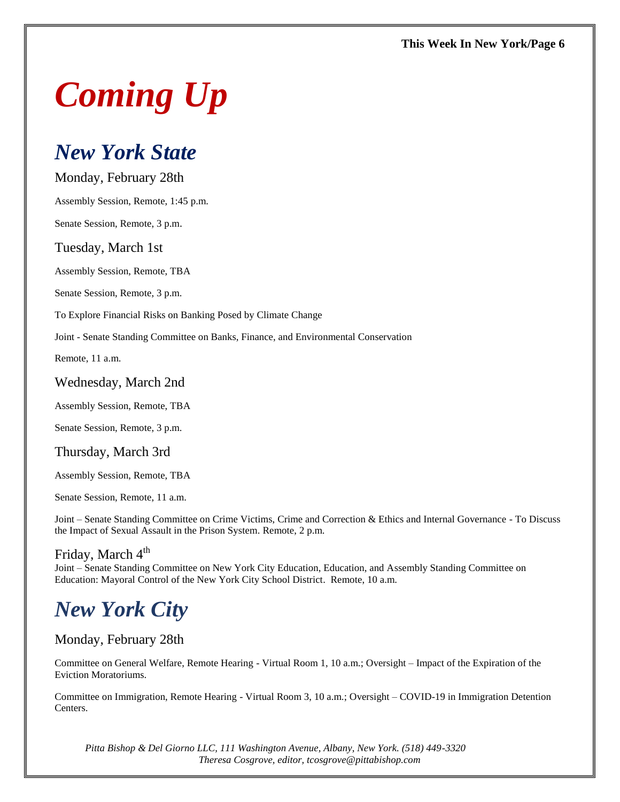# *Coming Up*

### *New York State*

Monday, February 28th

Assembly Session, Remote, 1:45 p.m.

Senate Session, Remote, 3 p.m.

#### Tuesday, March 1st

Assembly Session, Remote, TBA

Senate Session, Remote, 3 p.m.

To Explore Financial Risks on Banking Posed by Climate Change

Joint - Senate Standing Committee on Banks, Finance, and Environmental Conservation

Remote, 11 a.m.

#### Wednesday, March 2nd

Assembly Session, Remote, TBA

Senate Session, Remote, 3 p.m.

#### Thursday, March 3rd

Assembly Session, Remote, TBA

Senate Session, Remote, 11 a.m.

Joint – Senate Standing Committee on Crime Victims, Crime and Correction & Ethics and Internal Governance - To Discuss the Impact of Sexual Assault in the Prison System. Remote, 2 p.m.

### Friday, March 4<sup>th</sup>

Joint – Senate Standing Committee on New York City Education, Education, and Assembly Standing Committee on Education: Mayoral Control of the New York City School District. Remote, 10 a.m.

## *New York City*

#### Monday, February 28th

Committee on General Welfare, Remote Hearing - Virtual Room 1, 10 a.m.; Oversight – Impact of the Expiration of the Eviction Moratoriums.

Committee on Immigration, Remote Hearing - Virtual Room 3, 10 a.m.; Oversight – COVID-19 in Immigration Detention Centers.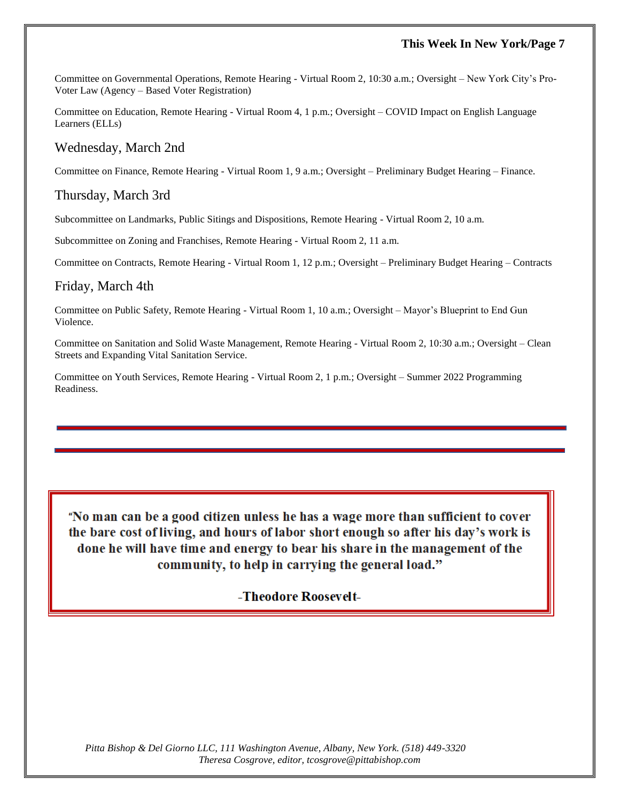#### **This Week In New York/Page 7**

Committee on Governmental Operations, Remote Hearing - Virtual Room 2, 10:30 a.m.; Oversight – New York City's Pro-Voter Law (Agency – Based Voter Registration)

Committee on Education, Remote Hearing - Virtual Room 4, 1 p.m.; Oversight – COVID Impact on English Language Learners (ELLs)

#### Wednesday, March 2nd

Committee on Finance, Remote Hearing - Virtual Room 1, 9 a.m.; Oversight – Preliminary Budget Hearing – Finance.

#### Thursday, March 3rd

Subcommittee on Landmarks, Public Sitings and Dispositions, Remote Hearing - Virtual Room 2, 10 a.m.

Subcommittee on Zoning and Franchises, Remote Hearing - Virtual Room 2, 11 a.m.

Committee on Contracts, Remote Hearing - Virtual Room 1, 12 p.m.; Oversight – Preliminary Budget Hearing – Contracts

#### Friday, March 4th

Committee on Public Safety, Remote Hearing - Virtual Room 1, 10 a.m.; Oversight – Mayor's Blueprint to End Gun Violence.

Committee on Sanitation and Solid Waste Management, Remote Hearing - Virtual Room 2, 10:30 a.m.; Oversight – Clean Streets and Expanding Vital Sanitation Service.

Committee on Youth Services, Remote Hearing - Virtual Room 2, 1 p.m.; Oversight – Summer 2022 Programming Readiness.

"No man can be a good citizen unless he has a wage more than sufficient to cover the bare cost of living, and hours of labor short enough so after his day's work is done he will have time and energy to bear his share in the management of the community, to help in carrying the general load."

#### -Theodore Roosevelt-